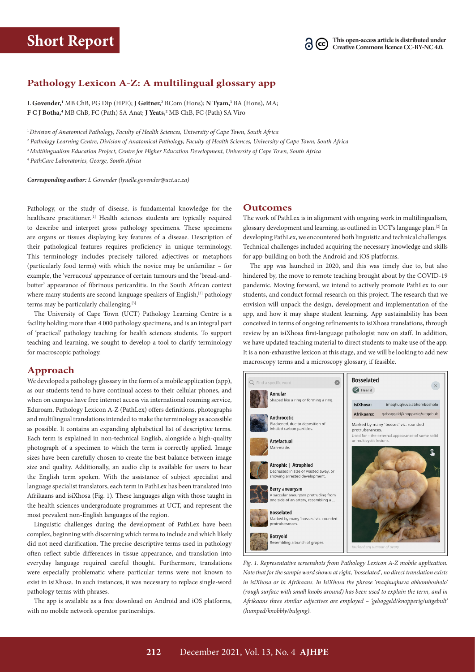

## **Pathology Lexicon A-Z: A multilingual glossary app**

**L Govender,1** MB ChB, PG Dip (HPE); **J Geitner,2** BCom (Hons); **N Tyam,3** BA (Hons), MA; **F C J Botha,4** MB ChB, FC (Path) SA Anat; **J Yeats,2** MB ChB, FC (Path) SA Viro

<sup>1</sup>*Division of Anatomical Pathology, Faculty of Health Sciences, University of Cape Town, South Africa*

<sup>2</sup> *Pathology Learning Centre, Division of Anatomical Pathology, Faculty of Health Sciences, University of Cape Town, South Africa*

<sup>3</sup>*Multilingualism Education Project, Centre for Higher Education Development, University of Cape Town, South Africa*

<sup>4</sup> *PathCare Laboratories, George, South Africa*

*Corresponding author: L Govender [\(lynelle.govender@uct.ac.za\)](mailto:lynelle.govender@uct.ac.za)*

Pathology, or the study of disease, is fundamental knowledge for the healthcare practitioner.<sup>[1]</sup> Health sciences students are typically required to describe and interpret gross pathology specimens. These specimens are organs or tissues displaying key features of a disease. Description of their pathological features requires proficiency in unique terminology. This terminology includes precisely tailored adjectives or metaphors (particularly food terms) with which the novice may be unfamiliar – for example, the 'verrucous' appearance of certain tumours and the 'bread-andbutter' appearance of fibrinous pericarditis. In the South African context where many students are second-language speakers of English,<sup>[2]</sup> pathology terms may be particularly challenging.[3]

The University of Cape Town (UCT) Pathology Learning Centre is a facility holding more than 4 000 pathology specimens, and is an integral part of 'practical' pathology teaching for health sciences students. To support teaching and learning, we sought to develop a tool to clarify terminology for macroscopic pathology.

## **Approach**

We developed a pathology glossary in the form of a mobile application (app), as our students tend to have continual access to their cellular phones, and when on campus have free internet access via international roaming service, Eduroam. Pathology Lexicon A-Z (PathLex) offers definitions, photographs and multilingual translations intended to make the terminology as accessible as possible. It contains an expanding alphabetical list of descriptive terms. Each term is explained in non-technical English, alongside a high-quality photograph of a specimen to which the term is correctly applied. Image sizes have been carefully chosen to create the best balance between image size and quality. Additionally, an audio clip is available for users to hear the English term spoken. With the assistance of subject specialist and language specialist translators, each term in PathLex has been translated into Afrikaans and isiXhosa (Fig. 1). These languages align with those taught in the health sciences undergraduate programmes at UCT, and represent the most prevalent non-English languages of the region.

Linguistic challenges during the development of PathLex have been complex, beginning with discerning which terms to include and which likely did not need clarification. The precise descriptive terms used in pathology often reflect subtle differences in tissue appearance, and translation into everyday language required careful thought. Furthermore, translations were especially problematic where particular terms were not known to exist in isiXhosa. In such instances, it was necessary to replace single-word pathology terms with phrases.

The app is available as a free download on Android and iOS platforms, with no mobile network operator partnerships.

## **Outcomes**

The work of PathLex is in alignment with ongoing work in multilingualism, glossary development and learning, as outlined in UCT's language plan.[2] In developing PathLex, we encountered both linguistic and technical challenges. Technical challenges included acquiring the necessary knowledge and skills for app-building on both the Android and iOS platforms.

The app was launched in 2020, and this was timely due to, but also hindered by, the move to remote teaching brought about by the COVID-19 pandemic. Moving forward, we intend to actively promote PathLex to our students, and conduct formal research on this project. The research that we envision will unpack the design, development and implementation of the app, and how it may shape student learning. App sustainability has been conceived in terms of ongoing refinements to isiXhosa translations, through review by an isiXhosa first-language pathologist now on staff. In addition, we have updated teaching material to direct students to make use of the app. It is a non-exhaustive lexicon at this stage, and we will be looking to add new macroscopy terms and a microscopy glossary, if feasible.



*Fig. 1. Representative screenshots from (anonymized, name of app removed) mobile application. Note that for the sample word shown at right, 'bosselated', no direct translation Fig. 1. Representative screenshots from Pathology Lexicon A-Z mobile application. exists in isiXhosa or in Afrikaans. In IsiXhosa the phrase 'maqhuqhuva abhombosholo' Note that for the sample word shown at right, 'bosselated', no direct translation exists*  in isiXhosa or in Afrikaans. In IsiXhosa the phrase 'maqhuqhuva abhombosholo' *(rough surface with small knobs around) has been used to explain the term, and in Afrikaans three similar adjectives are employed – 'geboggeld/knopperig/uitgebult' (humped/knobbly/bulging).*